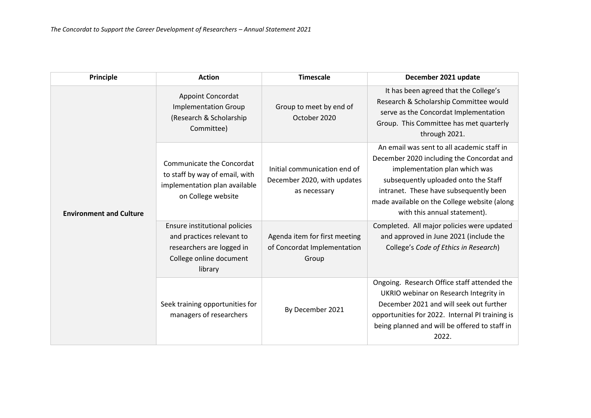| Principle                      | <b>Action</b>                                                                                                                 | <b>Timescale</b>                                                            | December 2021 update                                                                                                                                                                                                                                                                       |
|--------------------------------|-------------------------------------------------------------------------------------------------------------------------------|-----------------------------------------------------------------------------|--------------------------------------------------------------------------------------------------------------------------------------------------------------------------------------------------------------------------------------------------------------------------------------------|
| <b>Environment and Culture</b> | <b>Appoint Concordat</b><br><b>Implementation Group</b><br>(Research & Scholarship<br>Committee)                              | Group to meet by end of<br>October 2020                                     | It has been agreed that the College's<br>Research & Scholarship Committee would<br>serve as the Concordat Implementation<br>Group. This Committee has met quarterly<br>through 2021.                                                                                                       |
|                                | Communicate the Concordat<br>to staff by way of email, with<br>implementation plan available<br>on College website            | Initial communication end of<br>December 2020, with updates<br>as necessary | An email was sent to all academic staff in<br>December 2020 including the Concordat and<br>implementation plan which was<br>subsequently uploaded onto the Staff<br>intranet. These have subsequently been<br>made available on the College website (along<br>with this annual statement). |
|                                | Ensure institutional policies<br>and practices relevant to<br>researchers are logged in<br>College online document<br>library | Agenda item for first meeting<br>of Concordat Implementation<br>Group       | Completed. All major policies were updated<br>and approved in June 2021 (include the<br>College's Code of Ethics in Research)                                                                                                                                                              |
|                                | Seek training opportunities for<br>managers of researchers                                                                    | By December 2021                                                            | Ongoing. Research Office staff attended the<br>UKRIO webinar on Research Integrity in<br>December 2021 and will seek out further<br>opportunities for 2022. Internal PI training is<br>being planned and will be offered to staff in<br>2022.                                              |